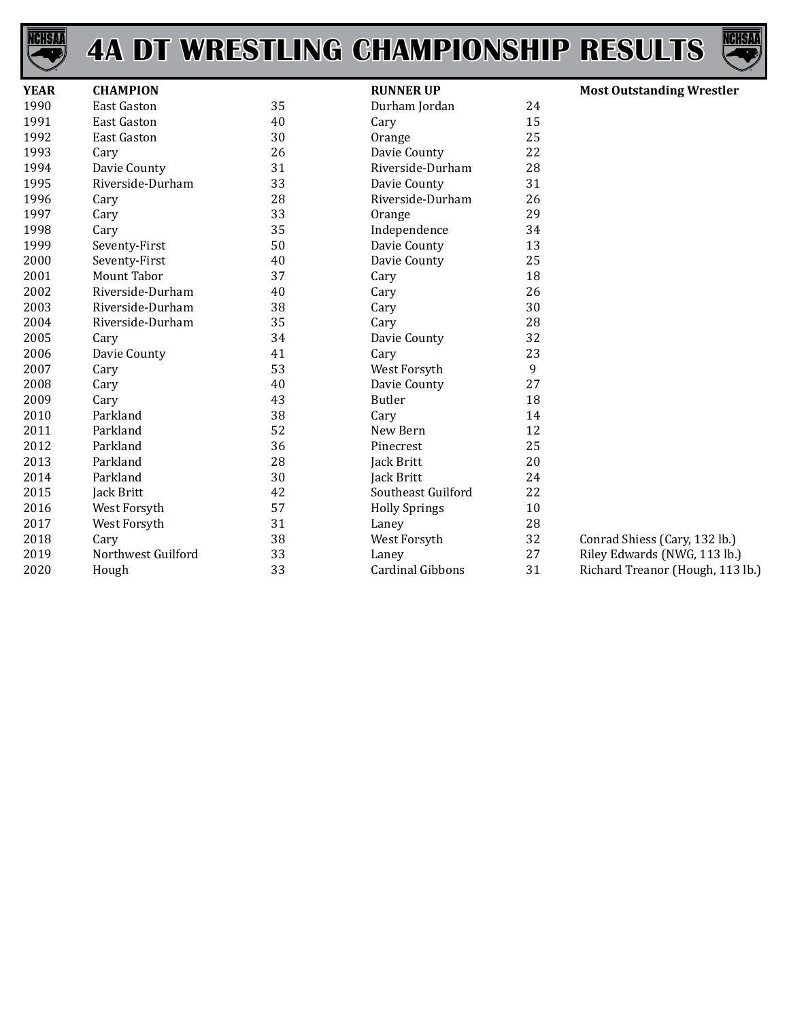



| <b>YEAR</b> | <b>CHAMPION</b>    |    | <b>RUNNER UP</b>        |    | <b>Most Outstanding Wrestler</b> |
|-------------|--------------------|----|-------------------------|----|----------------------------------|
| 1990        | <b>East Gaston</b> | 35 | Durham Jordan           | 24 |                                  |
| 1991        | <b>East Gaston</b> | 40 | Cary                    | 15 |                                  |
| 1992        | <b>East Gaston</b> | 30 | Orange                  | 25 |                                  |
| 1993        | Cary               | 26 | Davie County            | 22 |                                  |
| 1994        | Davie County       | 31 | Riverside-Durham        | 28 |                                  |
| 1995        | Riverside-Durham   | 33 | Davie County            | 31 |                                  |
| 1996        | Cary               | 28 | Riverside-Durham        | 26 |                                  |
| 1997        | Cary               | 33 | Orange                  | 29 |                                  |
| 1998        | Cary               | 35 | Independence            | 34 |                                  |
| 1999        | Seventy-First      | 50 | Davie County            | 13 |                                  |
| 2000        | Seventy-First      | 40 | Davie County            | 25 |                                  |
| 2001        | Mount Tabor        | 37 | Cary                    | 18 |                                  |
| 2002        | Riverside-Durham   | 40 | Cary                    | 26 |                                  |
| 2003        | Riverside-Durham   | 38 | Cary                    | 30 |                                  |
| 2004        | Riverside-Durham   | 35 | Cary                    | 28 |                                  |
| 2005        | Cary               | 34 | Davie County            | 32 |                                  |
| 2006        | Davie County       | 41 | Cary                    | 23 |                                  |
| 2007        | Cary               | 53 | West Forsyth            | 9  |                                  |
| 2008        | Cary               | 40 | Davie County            | 27 |                                  |
| 2009        | Cary               | 43 | Butler                  | 18 |                                  |
| 2010        | Parkland           | 38 | Cary                    | 14 |                                  |
| 2011        | Parkland           | 52 | New Bern                | 12 |                                  |
| 2012        | Parkland           | 36 | Pinecrest               | 25 |                                  |
| 2013        | Parkland           | 28 | Jack Britt              | 20 |                                  |
| 2014        | Parkland           | 30 | Jack Britt              | 24 |                                  |
| 2015        | Jack Britt         | 42 | Southeast Guilford      | 22 |                                  |
| 2016        | West Forsyth       | 57 | <b>Holly Springs</b>    | 10 |                                  |
| 2017        | West Forsyth       | 31 | Laney                   | 28 |                                  |
| 2018        | Cary               | 38 | West Forsyth            | 32 | Conrad Shiess (Cary, 132 lb.)    |
| 2019        | Northwest Guilford | 33 | Laney                   | 27 | Riley Edwards (NWG, 113 lb.)     |
| 2020        | Hough              | 33 | <b>Cardinal Gibbons</b> | 31 | Richard Treanor (Hough, 113 lb.) |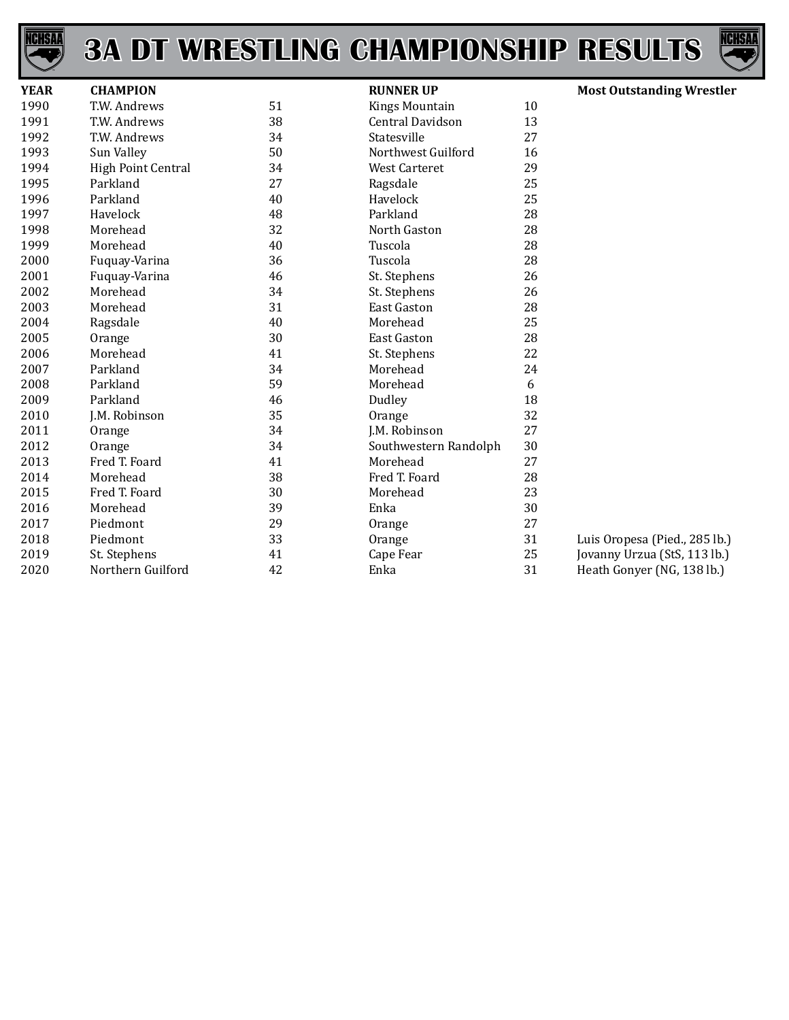



| <b>YEAR</b> | <b>CHAMPION</b>    |    | <b>RUNNER UP</b>        |    | <b>Most Outstanding Wrestler</b> |
|-------------|--------------------|----|-------------------------|----|----------------------------------|
| 1990        | T.W. Andrews       | 51 | <b>Kings Mountain</b>   | 10 |                                  |
| 1991        | T.W. Andrews       | 38 | <b>Central Davidson</b> | 13 |                                  |
| 1992        | T.W. Andrews       | 34 | Statesville             | 27 |                                  |
| 1993        | Sun Valley         | 50 | Northwest Guilford      | 16 |                                  |
| 1994        | High Point Central | 34 | <b>West Carteret</b>    | 29 |                                  |
| 1995        | Parkland           | 27 | Ragsdale                | 25 |                                  |
| 1996        | Parkland           | 40 | Havelock                | 25 |                                  |
| 1997        | Havelock           | 48 | Parkland                | 28 |                                  |
| 1998        | Morehead           | 32 | North Gaston            | 28 |                                  |
| 1999        | Morehead           | 40 | Tuscola                 | 28 |                                  |
| 2000        | Fuquay-Varina      | 36 | Tuscola                 | 28 |                                  |
| 2001        | Fuquay-Varina      | 46 | St. Stephens            | 26 |                                  |
| 2002        | Morehead           | 34 | St. Stephens            | 26 |                                  |
| 2003        | Morehead           | 31 | <b>East Gaston</b>      | 28 |                                  |
| 2004        | Ragsdale           | 40 | Morehead                | 25 |                                  |
| 2005        | Orange             | 30 | <b>East Gaston</b>      | 28 |                                  |
| 2006        | Morehead           | 41 | St. Stephens            | 22 |                                  |
| 2007        | Parkland           | 34 | Morehead                | 24 |                                  |
| 2008        | Parkland           | 59 | Morehead                | 6  |                                  |
| 2009        | Parkland           | 46 | Dudley                  | 18 |                                  |
| 2010        | J.M. Robinson      | 35 | Orange                  | 32 |                                  |
| 2011        | Orange             | 34 | J.M. Robinson           | 27 |                                  |
| 2012        | Orange             | 34 | Southwestern Randolph   | 30 |                                  |
| 2013        | Fred T. Foard      | 41 | Morehead                | 27 |                                  |
| 2014        | Morehead           | 38 | Fred T. Foard           | 28 |                                  |
| 2015        | Fred T. Foard      | 30 | Morehead                | 23 |                                  |
| 2016        | Morehead           | 39 | Enka                    | 30 |                                  |
| 2017        | Piedmont           | 29 | Orange                  | 27 |                                  |
| 2018        | Piedmont           | 33 | Orange                  | 31 | Luis Oropesa (Pied., 285 lb.)    |
| 2019        | St. Stephens       | 41 | Cape Fear               | 25 | Jovanny Urzua (StS, 113 lb.)     |
| 2020        | Northern Guilford  | 42 | Enka                    | 31 | Heath Gonyer (NG, 138 lb.)       |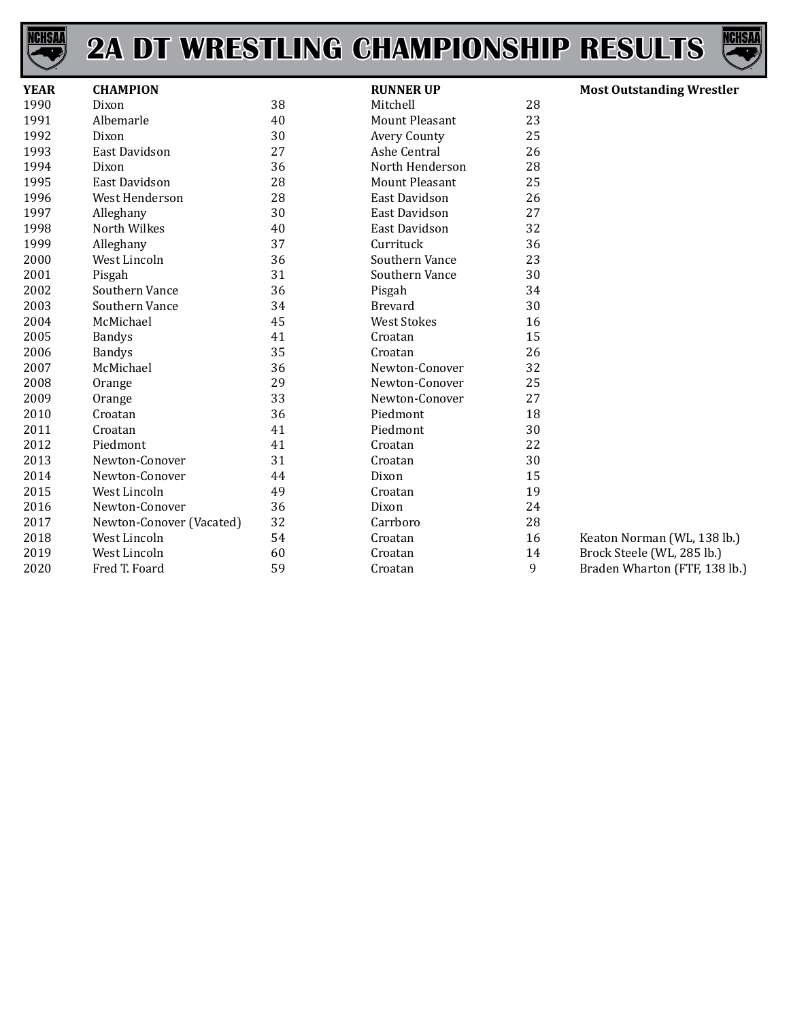



| <b>YEAR</b> | <b>CHAMPION</b>          |    | <b>RUNNER UP</b>      |    | <b>Most Outstanding Wrestler</b> |
|-------------|--------------------------|----|-----------------------|----|----------------------------------|
| 1990        | Dixon                    | 38 | Mitchell              | 28 |                                  |
| 1991        | Albemarle                | 40 | <b>Mount Pleasant</b> | 23 |                                  |
| 1992        | Dixon                    | 30 | <b>Avery County</b>   | 25 |                                  |
| 1993        | <b>East Davidson</b>     | 27 | Ashe Central          | 26 |                                  |
| 1994        | Dixon                    | 36 | North Henderson       | 28 |                                  |
| 1995        | <b>East Davidson</b>     | 28 | <b>Mount Pleasant</b> | 25 |                                  |
| 1996        | West Henderson           | 28 | East Davidson         | 26 |                                  |
| 1997        | Alleghany                | 30 | East Davidson         | 27 |                                  |
| 1998        | North Wilkes             | 40 | East Davidson         | 32 |                                  |
| 1999        | Alleghany                | 37 | Currituck             | 36 |                                  |
| 2000        | West Lincoln             | 36 | Southern Vance        | 23 |                                  |
| 2001        | Pisgah                   | 31 | Southern Vance        | 30 |                                  |
| 2002        | Southern Vance           | 36 | Pisgah                | 34 |                                  |
| 2003        | Southern Vance           | 34 | <b>Brevard</b>        | 30 |                                  |
| 2004        | McMichael                | 45 | <b>West Stokes</b>    | 16 |                                  |
| 2005        | <b>Bandys</b>            | 41 | Croatan               | 15 |                                  |
| 2006        | <b>Bandys</b>            | 35 | Croatan               | 26 |                                  |
| 2007        | McMichael                | 36 | Newton-Conover        | 32 |                                  |
| 2008        | Orange                   | 29 | Newton-Conover        | 25 |                                  |
| 2009        | Orange                   | 33 | Newton-Conover        | 27 |                                  |
| 2010        | Croatan                  | 36 | Piedmont              | 18 |                                  |
| 2011        | Croatan                  | 41 | Piedmont              | 30 |                                  |
| 2012        | Piedmont                 | 41 | Croatan               | 22 |                                  |
| 2013        | Newton-Conover           | 31 | Croatan               | 30 |                                  |
| 2014        | Newton-Conover           | 44 | Dixon                 | 15 |                                  |
| 2015        | West Lincoln             | 49 | Croatan               | 19 |                                  |
| 2016        | Newton-Conover           | 36 | Dixon                 | 24 |                                  |
| 2017        | Newton-Conover (Vacated) | 32 | Carrboro              | 28 |                                  |
| 2018        | West Lincoln             | 54 | Croatan               | 16 | Keaton Norman (WL, 138 lb.)      |
| 2019        | West Lincoln             | 60 | Croatan               | 14 | Brock Steele (WL, 285 lb.)       |
| 2020        | Fred T. Foard            | 59 | Croatan               | 9  | Braden Wharton (FTF, 138 lb.)    |